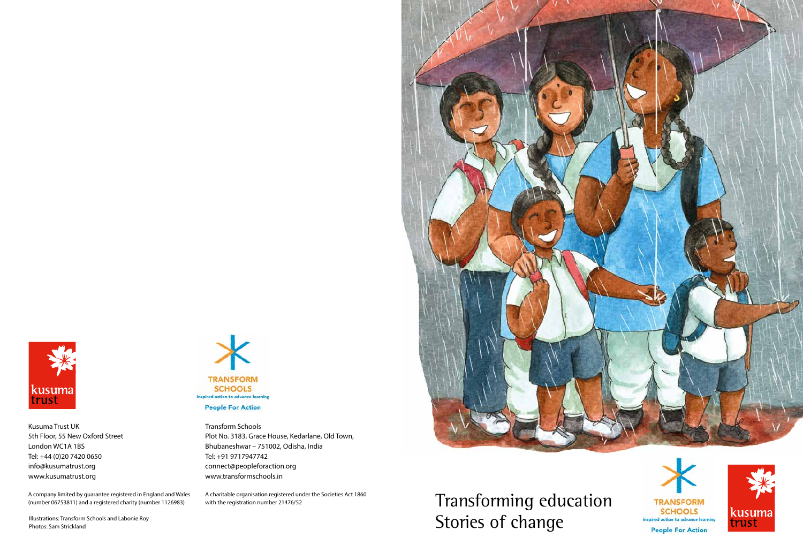Transforming education Stories of change







Kusuma Trust UK 5th Floor, 55 New Oxford Street London WC1A 1BS Tel: +44 (0)20 7420 0650 info@kusumatrust.org www.kusumatrust.org

A company limited by guarantee registered in England and Wales (number 06753811) and a registered charity (number 1126983)

Transform Schools Plot No. 3183, Grace House, Kedarlane, Old Town, Bhubaneshwar – 751002, Odisha, India Tel: +91 9717947742 connect@peopleforaction.org www.transformschools.in

A charitable organisation registered under the Societies Act 1860 with the registration number 21476/52



Illustrations: Transform Schools and Labonie Roy Photos: Sam Strickland

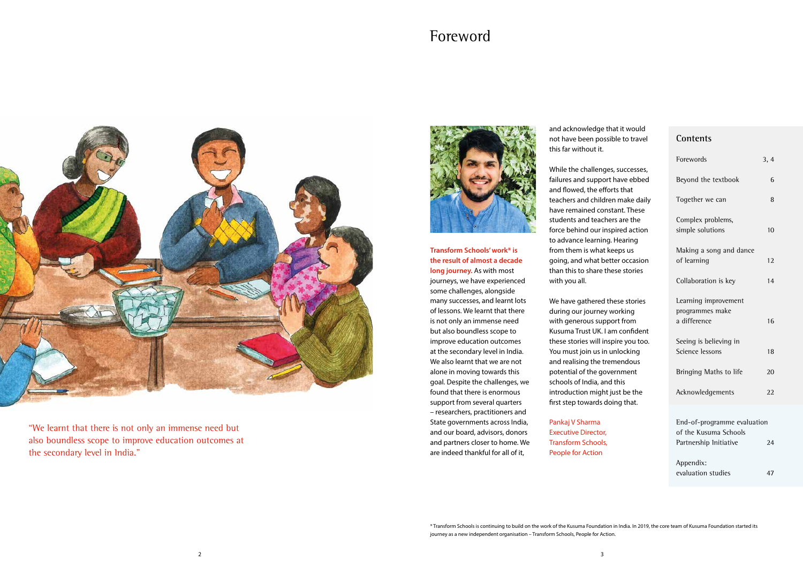# **Contents**

| Forewords                                               | 3, 4 |
|---------------------------------------------------------|------|
| Beyond the textbook                                     | 6    |
| Together we can                                         | 8    |
| Complex problems,<br>simple solutions                   | 10   |
| Making a song and dance<br>of learning                  | 12   |
| Collaboration is key                                    | 14   |
| Learning improvement<br>programmes make<br>a difference | 16   |
| Seeing is believing in<br>Science lessons               | 18   |
| Bringing Maths to life                                  | 20   |
| Acknowledgements                                        | 2.2. |

# Foreword



**Transform Schools' work\* is the result of almost a decade long journey.** As with most

journeys, we have experienced some challenges, alongside many successes, and learnt lots of lessons. We learnt that there is not only an immense need but also boundless scope to improve education outcomes at the secondary level in India. We also learnt that we are not alone in moving towards this goal. Despite the challenges, we found that there is enormous support from several quarters – researchers, practitioners and State governments across India, and our board, advisors, donors and partners closer to home. We are indeed thankful for all of it,

and acknowledge that it would not have been possible to travel this far without it.

| End-of-programme evaluation |    |
|-----------------------------|----|
| of the Kusuma Schools       |    |
| Partnership Initiative      | 24 |
|                             |    |
| Appendix:                   |    |
| evaluation studies          | 47 |
|                             |    |

While the challenges, successes, failures and support have ebbed and flowed, the efforts that teachers and children make daily have remained constant. These students and teachers are the force behind our inspired action to advance learning. Hearing from them is what keeps us going, and what better occasion than this to share these stories with you all.

We have gathered these stories during our journey working with generous support from Kusuma Trust UK. I am confident these stories will inspire you too. You must join us in unlocking and realising the tremendous potential of the government schools of India, and this introduction might just be the first step towards doing that.

Pankaj V Sharma Executive Director, Transform Schools, People for Action

"We learnt that there is not only an immense need but also boundless scope to improve education outcomes at the secondary level in India."



\* Transform Schools is continuing to build on the work of the Kusuma Foundation in India. In 2019, the core team of Kusuma Foundation started its journey as a new independent organisation – Transform Schools, People for Action.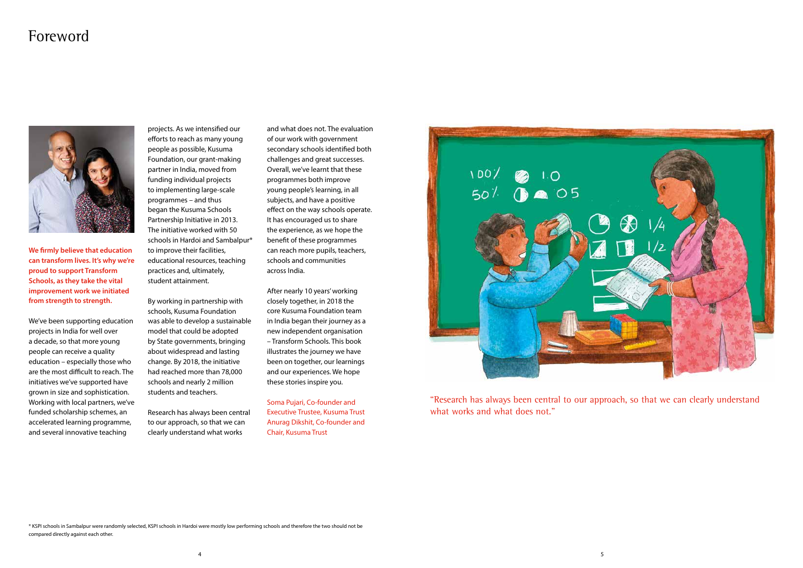# Foreword



**We firmly believe that education can transform lives. It's why we're proud to support Transform Schools, as they take the vital improvement work we initiated from strength to strength.**

We've been supporting education projects in India for well over a decade, so that more young people can receive a quality education – especially those who are the most difficult to reach. The initiatives we've supported have grown in size and sophistication. Working with local partners, we've funded scholarship schemes, an accelerated learning programme, and several innovative teaching

"Research has always been central to our approach, so that we can clearly understand what works and what does not."

projects. As we intensified our efforts to reach as many young people as possible, Kusuma Foundation, our grant-making partner in India, moved from funding individual projects to implementing large-scale programmes – and thus began the Kusuma Schools Partnership Initiative in 2013. The initiative worked with 50 schools in Hardoi and Sambalpur\* to improve their facilities, educational resources, teaching practices and, ultimately, student attainment.

By working in partnership with schools, Kusuma Foundation was able to develop a sustainable model that could be adopted by State governments, bringing about widespread and lasting change. By 2018, the initiative had reached more than 78,000 schools and nearly 2 million students and teachers.

Research has always been central to our approach, so that we can clearly understand what works

and what does not. The evaluation of our work with government secondary schools identified both challenges and great successes. Overall, we've learnt that these programmes both improve young people's learning, in all subjects, and have a positive effect on the way schools operate. It has encouraged us to share the experience, as we hope the benefit of these programmes can reach more pupils, teachers, schools and communities across India.

After nearly 10 years' working closely together, in 2018 the core Kusuma Foundation team in India began their journey as a new independent organisation – Transform Schools. This book illustrates the journey we have been on together, our learnings and our experiences. We hope these stories inspire you.

Soma Pujari, Co-founder and Executive Trustee, Kusuma Trust Anurag Dikshit, Co-founder and Chair, Kusuma Trust



\* KSPI schools in Sambalpur were randomly selected, KSPI schools in Hardoi were mostly low performing schools and therefore the two should not be compared directly against each other.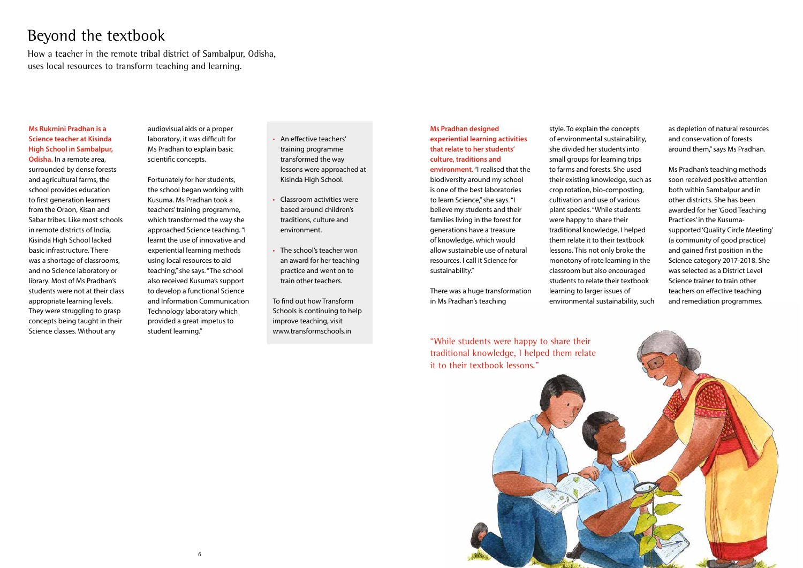

# Beyond the textbook

How a teacher in the remote tribal district of Sambalpur, Odisha, uses local resources to transform teaching and learning.

### **Ms Rukmini Pradhan is a Science teacher at Kisinda High School in Sambalpur,**

**Odisha.** In a remote area, surrounded by dense forests and agricultural farms, the school provides education to first generation learners from the Oraon, Kisan and Sabar tribes. Like most schools in remote districts of India, Kisinda High School lacked basic infrastructure. There was a shortage of classrooms, and no Science laboratory or library. Most of Ms Pradhan's students were not at their class appropriate learning levels. They were struggling to grasp concepts being taught in their Science classes. Without any

audiovisual aids or a proper laboratory, it was difficult for Ms Pradhan to explain basic scientific concepts.

Fortunately for her students, the school began working with Kusuma. Ms Pradhan took a teachers' training programme, which transformed the way she approached Science teaching. "I learnt the use of innovative and experiential learning methods using local resources to aid teaching," she says. "The school also received Kusuma's support to develop a functional Science and Information Communication Technology laboratory which provided a great impetus to student learning."

- An effective teachers' training programme transformed the way lessons were approached at Kisinda High School.
- Classroom activities were based around children's traditions, culture and environment.
- The school's teacher won an award for her teaching practice and went on to train other teachers.

To find out how Transform Schools is continuing to help improve teaching, visit www.transformschools.in

> "While students were happy to share their traditional knowledge, I helped them relate it to their textbook lessons."

**Ms Pradhan designed experiential learning activities that relate to her students' culture, traditions and environment.** "I realised that the biodiversity around my school is one of the best laboratories to learn Science," she says. "I believe my students and their families living in the forest for generations have a treasure of knowledge, which would allow sustainable use of natural resources. I call it Science for sustainability."

There was a huge transformation in Ms Pradhan's teaching

style. To explain the concepts of environmental sustainability, she divided her students into small groups for learning trips to farms and forests. She used their existing knowledge, such as crop rotation, bio-composting, cultivation and use of various plant species. "While students were happy to share their traditional knowledge, I helped them relate it to their textbook lessons. This not only broke the monotony of rote learning in the classroom but also encouraged students to relate their textbook learning to larger issues of environmental sustainability, such

as depletion of natural resources and conservation of forests around them," says Ms Pradhan.

Ms Pradhan's teaching methods soon received positive attention both within Sambalpur and in other districts. She has been awarded for her 'Good Teaching Practices' in the Kusumasupported 'Quality Circle Meeting' (a community of good practice) and gained first position in the Science category 2017-2018. She was selected as a District Level Science trainer to train other teachers on effective teaching and remediation programmes.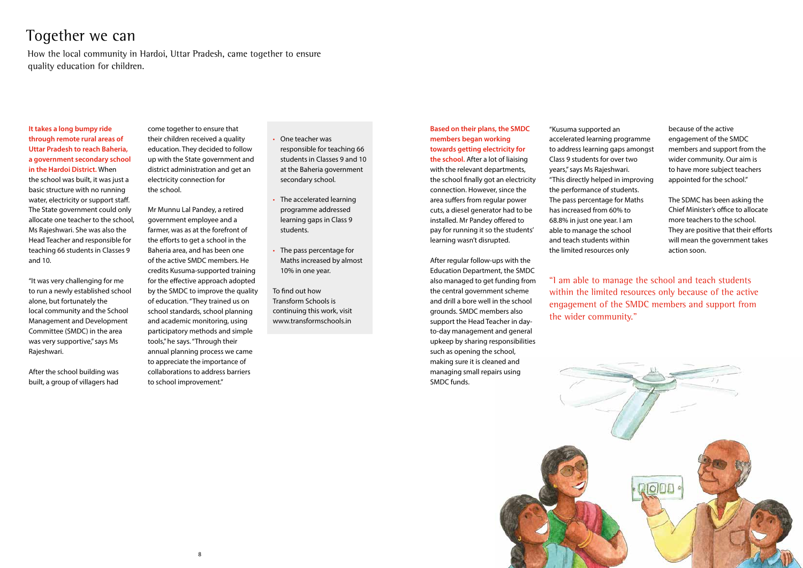

# Together we can

How the local community in Hardoi, Uttar Pradesh, came together to ensure quality education for children.

**It takes a long bumpy ride through remote rural areas of Uttar Pradesh to reach Baheria, a government secondary school in the Hardoi District.** When the school was built, it was just a basic structure with no running water, electricity or support staff. The State government could only allocate one teacher to the school, Ms Rajeshwari. She was also the Head Teacher and responsible for teaching 66 students in Classes 9 and 10.

"It was very challenging for me to run a newly established school alone, but fortunately the local community and the School Management and Development Committee (SMDC) in the area was very supportive," says Ms Rajeshwari.

After the school building was built, a group of villagers had

come together to ensure that their children received a quality education. They decided to follow up with the State government and district administration and get an electricity connection for the school.

Mr Munnu Lal Pandey, a retired government employee and a farmer, was as at the forefront of the efforts to get a school in the Baheria area, and has been one of the active SMDC members. He credits Kusuma-supported training for the effective approach adopted by the SMDC to improve the quality of education. "They trained us on school standards, school planning and academic monitoring, using participatory methods and simple tools," he says. "Through their annual planning process we came to appreciate the importance of collaborations to address barriers to school improvement."

**Based on their plans, the SMDC members began working towards getting electricity for the school.** After a lot of liaising with the relevant departments, the school finally got an electricity connection. However, since the area suffers from regular power

cuts, a diesel generator had to be installed. Mr Pandey offered to pay for running it so the students' learning wasn't disrupted.

After regular follow-ups with the Education Department, the SMDC also managed to get funding from the central government scheme and drill a bore well in the school grounds. SMDC members also support the Head Teacher in dayto-day management and general upkeep by sharing responsibilities such as opening the school, making sure it is cleaned and managing small repairs using SMDC funds.

"Kusuma supported an accelerated learning programme to address learning gaps amongst Class 9 students for over two years," says Ms Rajeshwari. "This directly helped in improving the performance of students. The pass percentage for Maths has increased from 60% to 68.8% in just one year. I am able to manage the school and teach students within the limited resources only

"I am able to manage the school and teach students within the limited resources only because of the active engagement of the SMDC members and support from the wider community."



- One teacher was responsible for teaching 66 students in Classes 9 and 10 at the Baheria government secondary school.
- The accelerated learning programme addressed learning gaps in Class 9 students.
- The pass percentage for Maths increased by almost 10% in one year.

To find out how Transform Schools is continuing this work, visit www.transformschools.in

because of the active engagement of the SMDC members and support from the wider community. Our aim is to have more subject teachers appointed for the school."

The SDMC has been asking the Chief Minister's office to allocate more teachers to the school. They are positive that their efforts will mean the government takes action soon.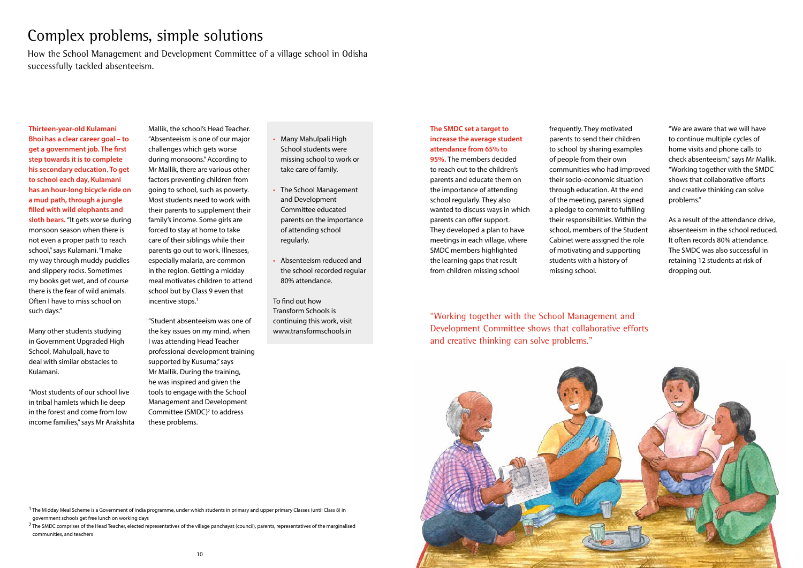

# Complex problems, simple solutions

How the School Management and Development Committee of a village school in Odisha successfully tackled absenteeism.

**Thirteen-year-old Kulamani Bhoi has a clear career goal – to get a government job. The first step towards it is to complete his secondary education. To get to school each day, Kulamani has an hour-long bicycle ride on a mud path, through a jungle filled with wild elephants and sloth bears.** "It gets worse during monsoon season when there is not even a proper path to reach school," says Kulamani. "I make my way through muddy puddles and slippery rocks. Sometimes my books get wet, and of course there is the fear of wild animals. Often I have to miss school on such days."

Mallik, the school's Head Teacher. "Absenteeism is one of our major challenges which gets worse during monsoons." According to Mr Mallik, there are various other factors preventing children from going to school, such as poverty. Most students need to work with their parents to supplement their family's income. Some girls are forced to stay at home to take care of their siblings while their parents go out to work. Illnesses, especially malaria, are common in the region. Getting a midday meal motivates children to attend school but by Class 9 even that incentive stops.<sup>1</sup>

Many other students studying in Government Upgraded High School, Mahulpali, have to deal with similar obstacles to Kulamani.

"Most students of our school live in tribal hamlets which lie deep in the forest and come from low income families," says Mr Arakshita

"Student absenteeism was one of the key issues on my mind, when I was attending Head Teacher professional development training supported by Kusuma," says Mr Mallik. During the training, he was inspired and given the tools to engage with the School Management and Development Committee (SMDC)<sup>2</sup> to address these problems.

# **The SMDC set a target to increase the average student attendance from 65% to**

<sup>1</sup> The Midday Meal Scheme is a Government of India programme, under which students in primary and upper primary Classes (until Class 8) in government schools get free lunch on working days

<sup>2</sup> The SMDC comprises of the Head Teacher, elected representatives of the village panchayat (council), parents, representatives of the marginalised communities, and teachers

**95%.** The members decided to reach out to the children's parents and educate them on the importance of attending school regularly. They also wanted to discuss ways in which parents can offer support. They developed a plan to have meetings in each village, where SMDC members highlighted the learning gaps that result from children missing school

frequently. They motivated parents to send their children to school by sharing examples of people from their own communities who had improved their socio-economic situation through education. At the end of the meeting, parents signed a pledge to commit to fulfilling their responsibilities. Within the school, members of the Student Cabinet were assigned the role of motivating and supporting students with a history of missing school.

"Working together with the School Management and Development Committee shows that collaborative efforts and creative thinking can solve problems."

- Many Mahulpali High School students were missing school to work or take care of family.
- The School Management and Development Committee educated parents on the importance of attending school regularly.
- Absenteeism reduced and the school recorded regular 80% attendance.

To find out how Transform Schools is continuing this work, visit www.transformschools.in

"We are aware that we will have to continue multiple cycles of home visits and phone calls to check absenteeism," says Mr Mallik. "Working together with the SMDC shows that collaborative efforts and creative thinking can solve problems."

As a result of the attendance drive, absenteeism in the school reduced. It often records 80% attendance. The SMDC was also successful in retaining 12 students at risk of dropping out.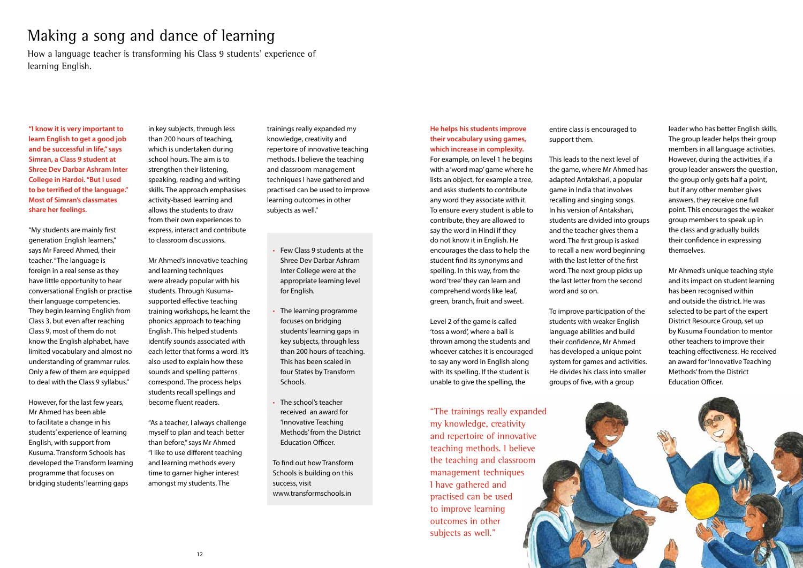# Making a song and dance of learning

How a language teacher is transforming his Class 9 students' experience of learning English.

**"I know it is very important to learn English to get a good job and be successful in life," says Simran, a Class 9 student at Shree Dev Darbar Ashram Inter College in Hardoi. "But I used to be terrified of the language." Most of Simran's classmates share her feelings.**

"My students are mainly first generation English learners," says Mr Fareed Ahmed, their teacher. "The language is foreign in a real sense as they have little opportunity to hear conversational English or practise their language competencies. They begin learning English from Class 3, but even after reaching Class 9, most of them do not know the English alphabet, have limited vocabulary and almost no understanding of grammar rules. Only a few of them are equipped to deal with the Class 9 syllabus."

However, for the last few years, Mr Ahmed has been able to facilitate a change in his students' experience of learning English, with support from Kusuma. Transform Schools has developed the Transform learning programme that focuses on bridging students' learning gaps

in key subjects, through less than 200 hours of teaching, which is undertaken during school hours. The aim is to strengthen their listening, speaking, reading and writing skills. The approach emphasises activity-based learning and allows the students to draw from their own experiences to express, interact and contribute to classroom discussions.

Mr Ahmed's innovative teaching and learning techniques were already popular with his students. Through Kusumasupported effective teaching training workshops, he learnt the phonics approach to teaching English. This helped students identify sounds associated with each letter that forms a word. It's also used to explain how these sounds and spelling patterns correspond. The process helps students recall spellings and become fluent readers.

"As a teacher, I always challenge myself to plan and teach better than before," says Mr Ahmed "I like to use different teaching and learning methods every time to garner higher interest amongst my students. The

### **He helps his students improve their vocabulary using games, which increase in complexity.**

For example, on level 1 he begins with a 'word map' game where he lists an object, for example a tree, and asks students to contribute any word they associate with it. To ensure every student is able to contribute, they are allowed to say the word in Hindi if they do not know it in English. He encourages the class to help the student find its synonyms and spelling. In this way, from the word 'tree' they can learn and comprehend words like leaf, green, branch, fruit and sweet.

Level 2 of the game is called 'toss a word', where a ball is thrown among the students and whoever catches it is encouraged to say any word in English along with its spelling. If the student is unable to give the spelling, the

entire class is encouraged to support them.

This leads to the next level of the game, where Mr Ahmed has adapted Antakshari, a popular game in India that involves recalling and singing songs. In his version of Antakshari, students are divided into groups and the teacher gives them a word. The first group is asked to recall a new word beginning with the last letter of the first word. The next group picks up the last letter from the second word and so on.

To improve participation of the students with weaker English language abilities and build their confidence, Mr Ahmed has developed a unique point system for games and activities. He divides his class into smaller groups of five, with a group

"The trainings really expanded my knowledge, creativity and repertoire of innovative teaching methods. I believe the teaching and classroom management techniques I have gathered and practised can be used to improve learning outcomes in other subjects as well."

- Few Class 9 students at the Shree Dev Darbar Ashram Inter College were at the appropriate learning level for English.
- The learning programme focuses on bridging students' learning gaps in key subjects, through less than 200 hours of teaching. This has been scaled in four States by Transform Schools.
- The school's teacher received an award for 'Innovative Teaching Methods' from the District Education Officer.

To find out how Transform Schools is building on this success, visit www.transformschools.in

leader who has better English skills. The group leader helps their group members in all language activities. However, during the activities, if a group leader answers the question, the group only gets half a point, but if any other member gives answers, they receive one full point. This encourages the weaker group members to speak up in the class and gradually builds their confidence in expressing themselves.

Mr Ahmed's unique teaching style and its impact on student learning has been recognised within and outside the district. He was selected to be part of the expert District Resource Group, set up by Kusuma Foundation to mentor other teachers to improve their teaching effectiveness. He received an award for 'Innovative Teaching Methods' from the District Education Officer.



trainings really expanded my knowledge, creativity and repertoire of innovative teaching methods. I believe the teaching and classroom management techniques I have gathered and practised can be used to improve learning outcomes in other subjects as well."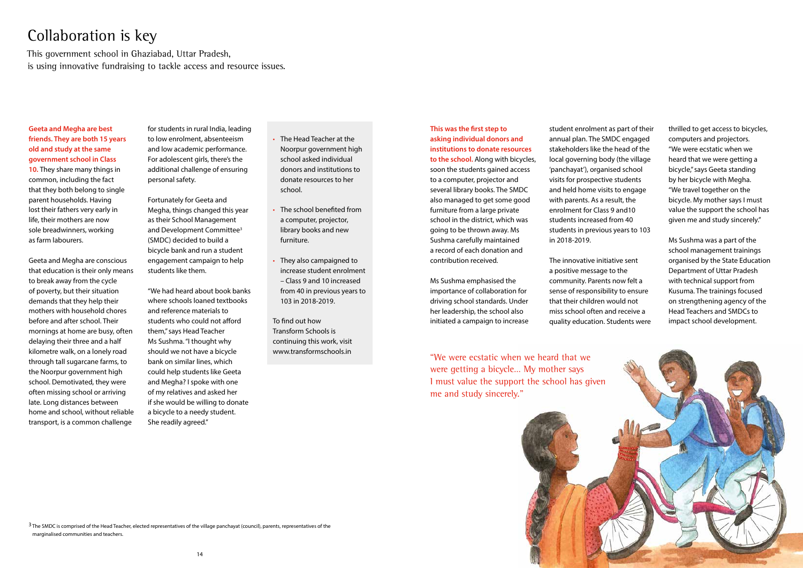

# Collaboration is key

This government school in Ghaziabad, Uttar Pradesh, is using innovative fundraising to tackle access and resource issues.

# **Geeta and Megha are best friends. They are both 15 years old and study at the same government school in Class**

**10.** They share many things in common, including the fact that they both belong to single parent households. Having lost their fathers very early in life, their mothers are now sole breadwinners, working as farm labourers.

Geeta and Megha are conscious that education is their only means to break away from the cycle of poverty, but their situation demands that they help their mothers with household chores before and after school. Their mornings at home are busy, often delaying their three and a half kilometre walk, on a lonely road through tall sugarcane farms, to the Noorpur government high school. Demotivated, they were often missing school or arriving late. Long distances between home and school, without reliable transport, is a common challenge

for students in rural India, leading to low enrolment, absenteeism and low academic performance. For adolescent girls, there's the additional challenge of ensuring personal safety.

Fortunately for Geeta and Megha, things changed this year as their School Management and Development Committee<sup>3</sup> (SMDC) decided to build a bicycle bank and run a student engagement campaign to help students like them.

"We had heard about book banks where schools loaned textbooks and reference materials to students who could not afford them," says Head Teacher Ms Sushma. "I thought why should we not have a bicycle bank on similar lines, which could help students like Geeta and Megha? I spoke with one of my relatives and asked her if she would be willing to donate a bicycle to a needy student. She readily agreed."

**This was the first step to asking individual donors and institutions to donate resources to the school.** Along with bicycles, soon the students gained access to a computer, projector and several library books. The SMDC also managed to get some good furniture from a large private school in the district, which was going to be thrown away. Ms Sushma carefully maintained a record of each donation and contribution received.

 $3$  The SMDC is comprised of the Head Teacher, elected representatives of the village panchayat (council), parents, representatives of the marginalised communities and teachers.

Ms Sushma emphasised the importance of collaboration for driving school standards. Under her leadership, the school also initiated a campaign to increase student enrolment as part of their annual plan. The SMDC engaged stakeholders like the head of the local governing body (the village 'panchayat'), organised school visits for prospective students and held home visits to engage with parents. As a result, the enrolment for Class 9 and10 students increased from 40 students in previous years to 103 in 2018-2019.

The innovative initiative sent a positive message to the community. Parents now felt a sense of responsibility to ensure that their children would not miss school often and receive a quality education. Students were

"We were ecstatic when we heard that we were getting a bicycle… My mother says I must value the support the school has given me and study sincerely."

- The Head Teacher at the Noorpur government high school asked individual donors and institutions to donate resources to her school.
- The school benefited from a computer, projector, library books and new furniture.
- They also campaigned to increase student enrolment – Class 9 and 10 increased from 40 in previous years to 103 in 2018-2019.

To find out how Transform Schools is continuing this work, visit www.transformschools.in

thrilled to get access to bicycles, computers and projectors. "We were ecstatic when we heard that we were getting a bicycle," says Geeta standing by her bicycle with Megha. "We travel together on the bicycle. My mother says I must value the support the school has given me and study sincerely."

Ms Sushma was a part of the school management trainings organised by the State Education Department of Uttar Pradesh with technical support from Kusuma. The trainings focused on strengthening agency of the Head Teachers and SMDCs to impact school development.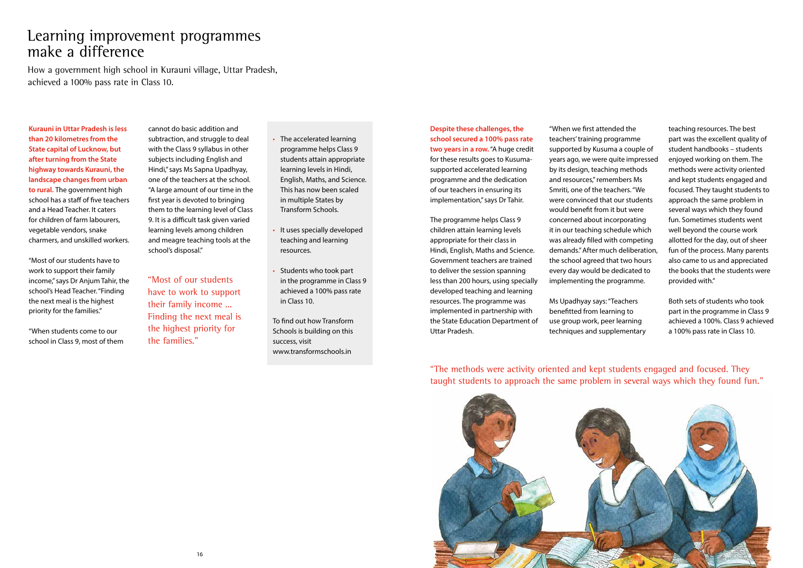

# Learning improvement programmes make a difference

How a government high school in Kurauni village, Uttar Pradesh, achieved a 100% pass rate in Class 10.

**Kurauni in Uttar Pradesh is less than 20 kilometres from the State capital of Lucknow, but after turning from the State highway towards Kurauni, the landscape changes from urban to rural.** The government high school has a staff of five teachers and a Head Teacher. It caters for children of farm labourers, vegetable vendors, snake charmers, and unskilled workers.

"Most of our students have to work to support their family income," says Dr Anjum Tahir, the school's Head Teacher. "Finding the next meal is the highest priority for the families."

"When students come to our school in Class 9, most of them cannot do basic addition and subtraction, and struggle to deal with the Class 9 syllabus in other subjects including English and Hindi," says Ms Sapna Upadhyay, one of the teachers at the school. "A large amount of our time in the first year is devoted to bringing them to the learning level of Class 9. It is a difficult task given varied learning levels among children and meagre teaching tools at the school's disposal."

"Most of our students have to work to support their family income ... Finding the next meal is the highest priority for the families."

**Despite these challenges, the school secured a 100% pass rate two years in a row.** "A huge credit for these results goes to Kusumasupported accelerated learning programme and the dedication of our teachers in ensuring its implementation," says Dr Tahir.

The programme helps Class 9 children attain learning levels appropriate for their class in Hindi, English, Maths and Science. Government teachers are trained to deliver the session spanning less than 200 hours, using specially developed teaching and learning resources. The programme was implemented in partnership with the State Education Department of Uttar Pradesh.

"When we first attended the teachers' training programme supported by Kusuma a couple of years ago, we were quite impressed by its design, teaching methods and resources," remembers Ms Smriti, one of the teachers. "We were convinced that our students would benefit from it but were concerned about incorporating it in our teaching schedule which was already filled with competing demands." After much deliberation, the school agreed that two hours every day would be dedicated to implementing the programme.

Ms Upadhyay says: "Teachers benefitted from learning to use group work, peer learning techniques and supplementary

"The methods were activity oriented and kept students engaged and focused. They taught students to approach the same problem in several ways which they found fun."

- The accelerated learning programme helps Class 9 students attain appropriate learning levels in Hindi, English, Maths, and Science. This has now been scaled in multiple States by Transform Schools.
- It uses specially developed teaching and learning resources.
- Students who took part in the programme in Class 9 achieved a 100% pass rate in Class 10.

To find out how Transform Schools is building on this success, visit www.transformschools.in

teaching resources. The best part was the excellent quality of student handbooks – students enjoyed working on them. The methods were activity oriented and kept students engaged and focused. They taught students to approach the same problem in several ways which they found fun. Sometimes students went well beyond the course work allotted for the day, out of sheer fun of the process. Many parents also came to us and appreciated the books that the students were provided with."

Both sets of students who took part in the programme in Class 9 achieved a 100%. Class 9 achieved a 100% pass rate in Class 10.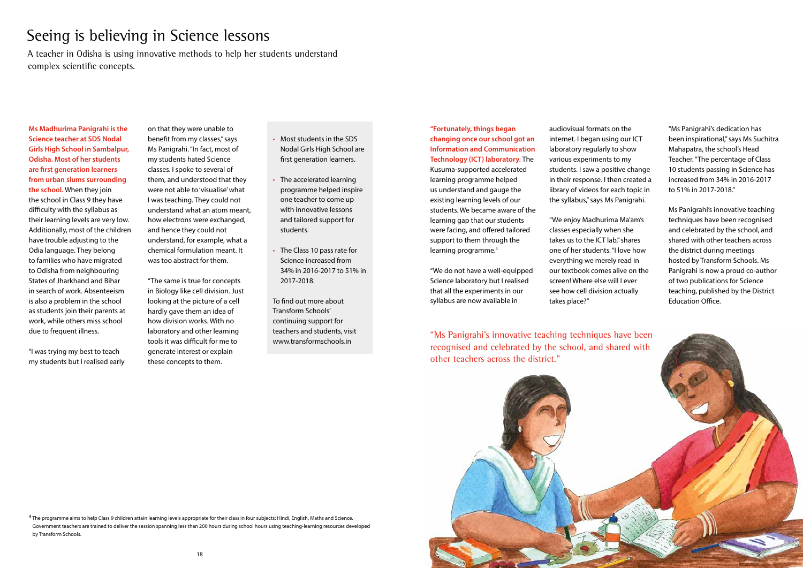# Seeing is believing in Science lessons

A teacher in Odisha is using innovative methods to help her students understand complex scientific concepts.

**Ms Madhurima Panigrahi is the Science teacher at SDS Nodal Girls High School in Sambalpur, Odisha. Most of her students are first generation learners from urban slums surrounding the school.** When they join the school in Class 9 they have difficulty with the syllabus as their learning levels are very low. Additionally, most of the children have trouble adjusting to the Odia language. They belong to families who have migrated to Odisha from neighbouring States of Jharkhand and Bihar in search of work. Absenteeism is also a problem in the school as students join their parents at work, while others miss school due to frequent illness.

**"Fortunately, things began changing once our school got an Information and Communication Technology (ICT) laboratory.** The Kusuma-supported accelerated learning programme helped us understand and gauge the existing learning levels of our students. We became aware of the learning gap that our students were facing, and offered tailored support to them through the learning programme.<sup>4</sup>

"I was trying my best to teach my students but I realised early on that they were unable to benefit from my classes," says Ms Panigrahi. "In fact, most of my students hated Science classes. I spoke to several of them, and understood that they were not able to 'visualise' what I was teaching. They could not understand what an atom meant, how electrons were exchanged, and hence they could not understand, for example, what a chemical formulation meant. It was too abstract for them.

"The same is true for concepts in Biology like cell division. Just looking at the picture of a cell hardly gave them an idea of how division works. With no laboratory and other learning tools it was difficult for me to generate interest or explain these concepts to them.



<sup>4</sup> The programme aims to help Class 9 children attain learning levels appropriate for their class in four subjects: Hindi, English, Maths and Science. Government teachers are trained to deliver the session spanning less than 200 hours during school hours using teaching-learning resources developed by Transform Schools.

"We do not have a well-equipped Science laboratory but I realised that all the experiments in our syllabus are now available in

audiovisual formats on the internet. I began using our ICT laboratory regularly to show various experiments to my students. I saw a positive change in their response. I then created a library of videos for each topic in the syllabus," says Ms Panigrahi.

"We enjoy Madhurima Ma'am's classes especially when she takes us to the ICT lab," shares one of her students. "I love how everything we merely read in our textbook comes alive on the screen! Where else will I ever see how cell division actually takes place?"

- Most students in the SDS Nodal Girls High School are first generation learners.
- The accelerated learning programme helped inspire one teacher to come up with innovative lessons and tailored support for students.
- The Class 10 pass rate for Science increased from 34% in 2016-2017 to 51% in 2017-2018.
- To find out more about Transform Schools' continuing support for teachers and students, visit www.transformschools.in

## "Ms Panigrahi's dedication has been inspirational," says Ms Suchitra Mahapatra, the school's Head Teacher. "The percentage of Class 10 students passing in Science has increased from 34% in 2016-2017 to 51% in 2017-2018."

Ms Panigrahi's innovative teaching techniques have been recognised and celebrated by the school, and shared with other teachers across the district during meetings hosted by Transform Schools. Ms Panigrahi is now a proud co-author of two publications for Science teaching, published by the District Education Office.

other teachers across the district."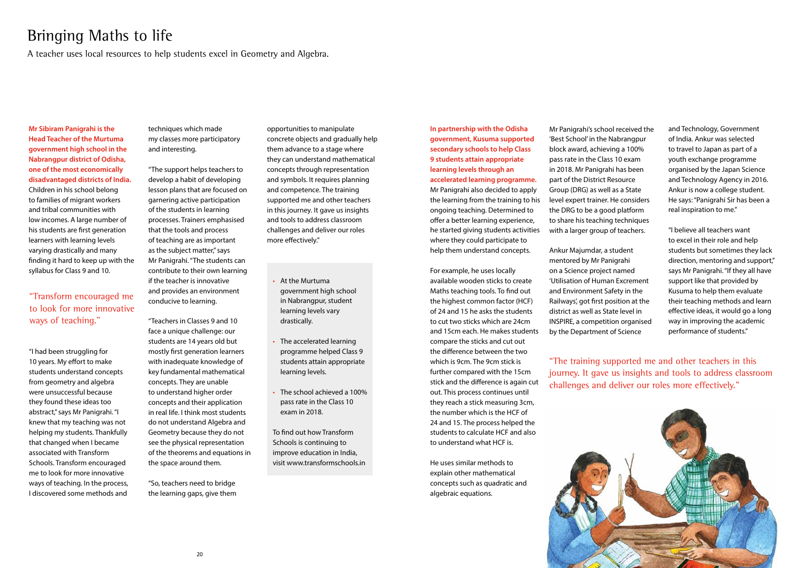

# Bringing Maths to life

A teacher uses local resources to help students excel in Geometry and Algebra.

**Mr Sibiram Panigrahi is the Head Teacher of the Murtuma government high school in the Nabrangpur district of Odisha, one of the most economically disadvantaged districts of India.**  Children in his school belong to families of migrant workers and tribal communities with low incomes. A large number of his students are first generation learners with learning levels varying drastically and many finding it hard to keep up with the syllabus for Class 9 and 10.

techniques which made my classes more participatory and interesting.

"The support helps teachers to develop a habit of developing lesson plans that are focused on garnering active participation of the students in learning processes. Trainers emphasised that the tools and process of teaching are as important as the subject matter," says Mr Panigrahi. "The students can contribute to their own learning if the teacher is innovative and provides an environment conducive to learning.

"Teachers in Classes 9 and 10 face a unique challenge: our students are 14 years old but mostly first generation learners with inadequate knowledge of key fundamental mathematical concepts. They are unable to understand higher order concepts and their application in real life. I think most students do not understand Algebra and Geometry because they do not see the physical representation of the theorems and equations in the space around them.

"So, teachers need to bridge the learning gaps, give them

## **In partnership with the Odisha government, Kusuma supported secondary schools to help Class 9 students attain appropriate learning levels through an accelerated learning programme.**  Mr Panigrahi also decided to apply the learning from the training to his

ongoing teaching. Determined to offer a better learning experience, he started giving students activities where they could participate to help them understand concepts.

For example, he uses locally available wooden sticks to create Maths teaching tools. To find out the highest common factor (HCF) of 24 and 15 he asks the students to cut two sticks which are 24cm and 15cm each. He makes students compare the sticks and cut out the difference between the two which is 9cm. The 9cm stick is further compared with the 15cm stick and the difference is again cut out. This process continues until they reach a stick measuring 3cm, the number which is the HCF of 24 and 15. The process helped the students to calculate HCF and also to understand what HCF is.

He uses similar methods to explain other mathematical concepts such as quadratic and algebraic equations.

Mr Panigrahi's school received the 'Best School' in the Nabrangpur block award, achieving a 100% pass rate in the Class 10 exam in 2018. Mr Panigrahi has been part of the District Resource Group (DRG) as well as a State level expert trainer. He considers the DRG to be a good platform to share his teaching techniques with a larger group of teachers.

Ankur Majumdar, a student mentored by Mr Panigrahi on a Science project named 'Utilisation of Human Excrement and Environment Safety in the Railways', got first position at the district as well as State level in INSPIRE, a competition organised by the Department of Science

"The training supported me and other teachers in this journey. It gave us insights and tools to address classroom challenges and deliver our roles more effectively."

- At the Murtuma government high school in Nabrangpur, student learning levels vary drastically.
- The accelerated learning programme helped Class 9 students attain appropriate learning levels.
- The school achieved a 100% pass rate in the Class 10 exam in 2018.

To find out how Transform Schools is continuing to improve education in India, visit www.transformschools.in and Technology, Government of India. Ankur was selected to travel to Japan as part of a youth exchange programme organised by the Japan Science and Technology Agency in 2016. Ankur is now a college student. He says: "Panigrahi Sir has been a real inspiration to me."

"I believe all teachers want to excel in their role and help students but sometimes they lack direction, mentoring and support," says Mr Panigrahi. "If they all have support like that provided by Kusuma to help them evaluate their teaching methods and learn effective ideas, it would go a long way in improving the academic performance of students."

opportunities to manipulate concrete objects and gradually help them advance to a stage where they can understand mathematical concepts through representation and symbols. It requires planning and competence. The training supported me and other teachers in this journey. It gave us insights and tools to address classroom challenges and deliver our roles more effectively."

# "Transform encouraged me to look for more innovative ways of teaching."

"I had been struggling for 10 years. My effort to make students understand concepts from geometry and algebra were unsuccessful because they found these ideas too abstract," says Mr Panigrahi. "I knew that my teaching was not helping my students. Thankfully that changed when I became associated with Transform Schools. Transform encouraged me to look for more innovative ways of teaching. In the process, I discovered some methods and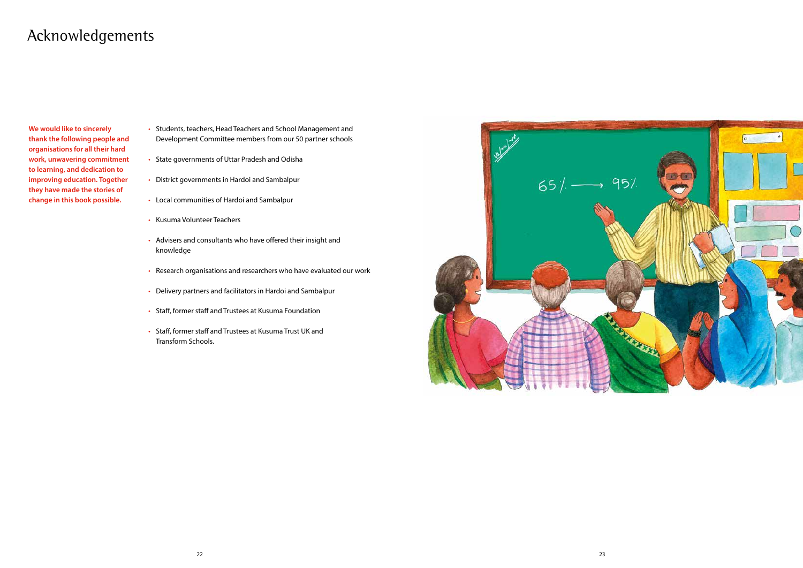# Acknowledgements

**We would like to sincerely thank the following people and organisations for all their hard work, unwavering commitment to learning, and dedication to improving education. Together they have made the stories of change in this book possible.**

- Students, teachers, Head Teachers and School Management and Development Committee members from our 50 partner schools
- State governments of Uttar Pradesh and Odisha
- District governments in Hardoi and Sambalpur
- Local communities of Hardoi and Sambalpur
- Kusuma Volunteer Teachers
- Advisers and consultants who have offered their insight and knowledge
- Research organisations and researchers who have evaluated our work
- Delivery partners and facilitators in Hardoi and Sambalpur
- Staff, former staff and Trustees at Kusuma Foundation
- Staff, former staff and Trustees at Kusuma Trust UK and Transform Schools.

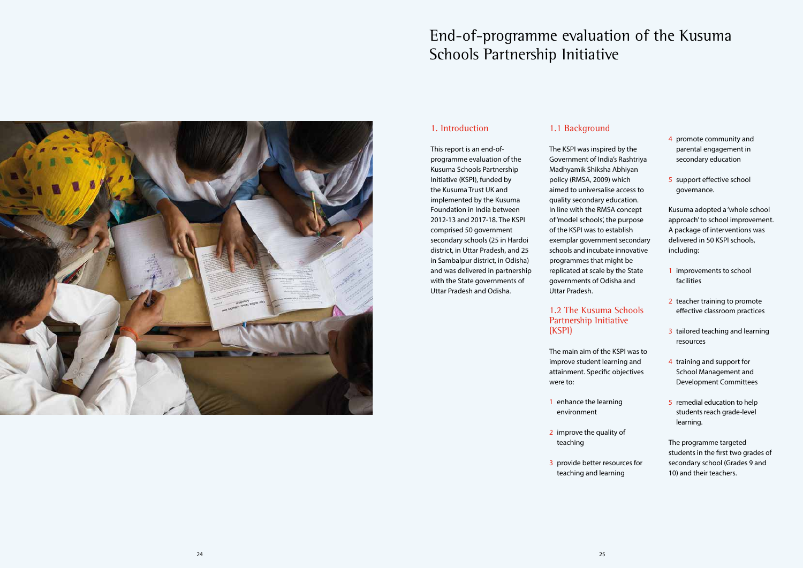# End-of-programme evaluation of the Kusuma Schools Partnership Initiative



# 1. Introduction

This report is an end-ofprogramme evaluation of the Kusuma Schools Partnership Initiative (KSPI), funded by the Kusuma Trust UK and implemented by the Kusuma Foundation in India between 2012-13 and 2017-18. The KSPI comprised 50 government secondary schools (25 in Hardoi district, in Uttar Pradesh, and 25 in Sambalpur district, in Odisha) and was delivered in partnership with the State governments of Uttar Pradesh and Odisha.

## 1.1 Background

The KSPI was inspired by the Government of India's Rashtriya Madhyamik Shiksha Abhiyan policy (RMSA, 2009) which aimed to universalise access to quality secondary education. In line with the RMSA concept of 'model schools', the purpose of the KSPI was to establish exemplar government secondary schools and incubate innovative programmes that might be replicated at scale by the State governments of Odisha and Uttar Pradesh.

# 1.2 The Kusuma Schools Partnership Initiative (KSPI)

The main aim of the KSPI was to improve student learning and attainment. Specific objectives were to:

- 1 enhance the learning environment
- 2 improve the quality of teaching
- 3 provide better resources for teaching and learning

- 4 promote community and parental engagement in secondary education
- 5 support effective school governance.

Kusuma adopted a 'whole school approach' to school improvement. A package of interventions was delivered in 50 KSPI schools, including:

- 1 improvements to school facilities
- 2 teacher training to promote effective classroom practices
- 3 tailored teaching and learning resources
- 4 training and support for School Management and Development Committees
- 5 remedial education to help students reach grade-level learning.

The programme targeted students in the first two grades of secondary school (Grades 9 and 10) and their teachers.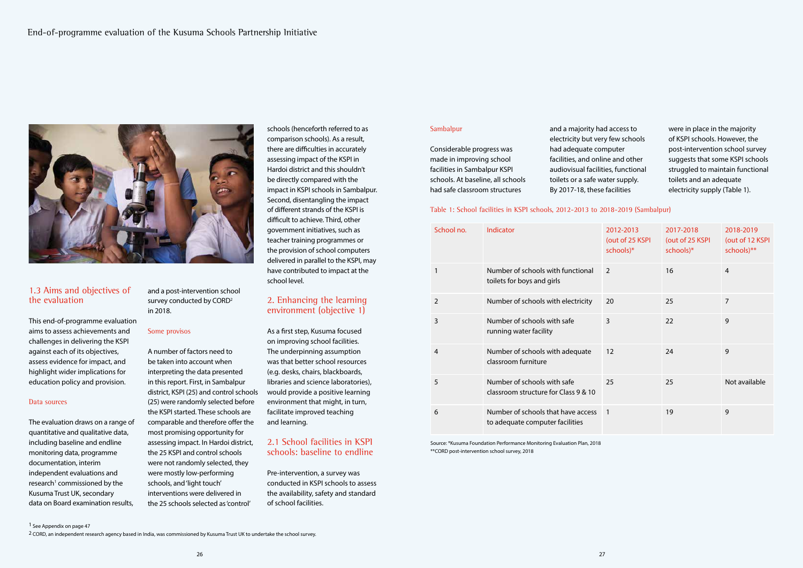

#### Sambalpur

Considerable progress was made in improving school facilities in Sambalpur KSPI schools. At baseline, all schools had safe classroom structures

and a majority had access to electricity but very few schools had adequate computer facilities, and online and other audiovisual facilities, functional toilets or a safe water supply. By 2017-18, these facilities

were in place in the majority of KSPI schools. However, the post-intervention school survey suggests that some KSPI schools struggled to maintain functional toilets and an adequate electricity supply (Table 1).

Table 1: School facilities in KSPI schools, 2012-2013 to 2018-2019 (Sambalpur)

| School no.     | Indicator                                                             | 2012-2013<br>(out of 25 KSPI<br>schools)* | 2017-2018<br>(out of 25 KSPI<br>schools)* | 2018-2019<br>(out of 12 KSPI<br>schools)** |
|----------------|-----------------------------------------------------------------------|-------------------------------------------|-------------------------------------------|--------------------------------------------|
| 1              | Number of schools with functional<br>toilets for boys and girls       | 2                                         | 16                                        | $\overline{4}$                             |
| $\overline{2}$ | Number of schools with electricity                                    | 20                                        | 25                                        | $\overline{7}$                             |
| 3              | Number of schools with safe<br>running water facility                 | 3                                         | 22                                        | 9                                          |
| 4              | Number of schools with adequate<br>classroom furniture                | 12                                        | 24                                        | 9                                          |
| 5              | Number of schools with safe<br>classroom structure for Class 9 & 10   | 25                                        | 25                                        | Not available                              |
| 6              | Number of schools that have access<br>to adequate computer facilities | $\sqrt{1}$                                | 19                                        | 9                                          |

Source: \*Kusuma Foundation Performance Monitoring Evaluation Plan, 2018 \*\*CORD post-intervention school survey, 2018

# 1.3 Aims and objectives of the evaluation

This end-of-programme evaluation aims to assess achievements and challenges in delivering the KSPI against each of its objectives, assess evidence for impact, and highlight wider implications for education policy and provision.

### Data sources

The evaluation draws on a range of quantitative and qualitative data, including baseline and endline monitoring data, programme documentation, interim independent evaluations and research<sup>1</sup> commissioned by the Kusuma Trust UK, secondary data on Board examination results,

and a post-intervention school survey conducted by CORD<sup>2</sup> in 2018.

#### Some provisos

A number of factors need to be taken into account when interpreting the data presented in this report. First, in Sambalpur district, KSPI (25) and control schools (25) were randomly selected before the KSPI started. These schools are comparable and therefore offer the most promising opportunity for assessing impact. In Hardoi district, the 25 KSPI and control schools were not randomly selected, they were mostly low-performing schools, and 'light touch' interventions were delivered in the 25 schools selected as 'control'

schools (henceforth referred to as comparison schools). As a result, there are difficulties in accurately assessing impact of the KSPI in Hardoi district and this shouldn't be directly compared with the impact in KSPI schools in Sambalpur. Second, disentangling the impact of different strands of the KSPI is difficult to achieve. Third, other government initiatives, such as teacher training programmes or the provision of school computers delivered in parallel to the KSPI, may have contributed to impact at the school level.

# 2. Enhancing the learning environment (objective 1)

As a first step, Kusuma focused on improving school facilities. The underpinning assumption was that better school resources (e.g. desks, chairs, blackboards, libraries and science laboratories), would provide a positive learning environment that might, in turn, facilitate improved teaching and learning.

# 2.1 School facilities in KSPI schools: baseline to endline

Pre-intervention, a survey was conducted in KSPI schools to assess the availability, safety and standard of school facilities.

1 See Appendix on page 47

2 CORD, an independent research agency based in India, was commissioned by Kusuma Trust UK to undertake the school survey.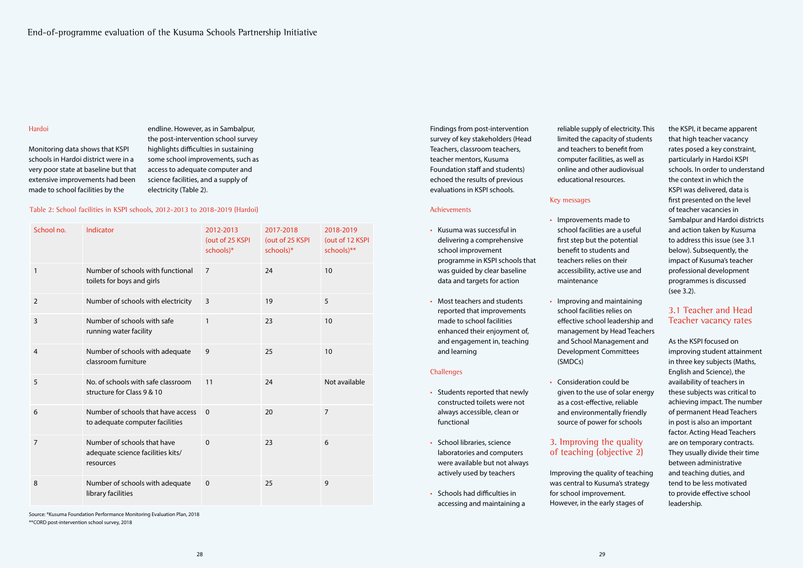Findings from post-intervention survey of key stakeholders (Head Teachers, classroom teachers, teacher mentors, Kusuma Foundation staff and students) echoed the results of previous evaluations in KSPI schools.

#### Achievements

- Kusuma was successful in delivering a comprehensive school improvement programme in KSPI schools that was guided by clear baseline data and targets for action
- Most teachers and students reported that improvements made to school facilities enhanced their enjoyment of, and engagement in, teaching and learning

#### **Challenges**

- Students reported that newly constructed toilets were not always accessible, clean or functional
- School libraries, science laboratories and computers were available but not always actively used by teachers
- Schools had difficulties in accessing and maintaining a

reliable supply of electricity. This limited the capacity of students and teachers to benefit from computer facilities, as well as online and other audiovisual educational resources.

#### Key messages

- Improvements made to school facilities are a useful first step but the potential benefit to students and teachers relies on their accessibility, active use and maintenance
- Improving and maintaining school facilities relies on effective school leadership and management by Head Teachers and School Management and Development Committees (SMDCs)
- Consideration could be given to the use of solar energy as a cost-effective, reliable and environmentally friendly source of power for schools

# 3. Improving the quality of teaching (objective 2)

Improving the quality of teaching was central to Kusuma's strategy for school improvement. However, in the early stages of

the KSPI, it became apparent that high teacher vacancy rates posed a key constraint, particularly in Hardoi KSPI schools. In order to understand the context in which the KSPI was delivered, data is first presented on the level of teacher vacancies in Sambalpur and Hardoi districts and action taken by Kusuma to address this issue (see 3.1 below). Subsequently, the impact of Kusuma's teacher professional development programmes is discussed (see 3.2).

# 3.1 Teacher and Head Teacher vacancy rates

As the KSPI focused on improving student attainment in three key subjects (Maths, English and Science), the availability of teachers in these subjects was critical to achieving impact. The number of permanent Head Teachers in post is also an important factor. Acting Head Teachers are on temporary contracts. They usually divide their time between administrative and teaching duties, and tend to be less motivated to provide effective school leadership.

### Hardoi

Monitoring data shows that KSPI schools in Hardoi district were in a very poor state at baseline but that extensive improvements had been made to school facilities by the

endline. However, as in Sambalpur, the post-intervention school survey highlights difficulties in sustaining some school improvements, such as access to adequate computer and science facilities, and a supply of electricity (Table 2).

#### Table 2: School facilities in KSPI schools, 2012-2013 to 2018-2019 (Hardoi)

| School no.     | Indicator                                                                     | 2012-2013<br>(out of 25 KSPI<br>schools)* | 2017-2018<br>(out of 25 KSPI<br>schools)* | 2018-2019<br>(out of 12 KSPI<br>schools)** |
|----------------|-------------------------------------------------------------------------------|-------------------------------------------|-------------------------------------------|--------------------------------------------|
| 1              | Number of schools with functional<br>toilets for boys and girls               | $\overline{7}$                            | 24                                        | 10                                         |
| $\overline{2}$ | Number of schools with electricity                                            | $\overline{3}$                            | 19                                        | 5                                          |
| $\overline{3}$ | Number of schools with safe<br>running water facility                         | $\mathbf{1}$                              | 23                                        | 10                                         |
| $\overline{4}$ | Number of schools with adequate<br>classroom furniture                        | 9                                         | 25                                        | 10                                         |
| 5              | No. of schools with safe classroom<br>structure for Class 9 & 10              | 11                                        | 24                                        | Not available                              |
| 6              | Number of schools that have access<br>to adequate computer facilities         | $\mathbf{0}$                              | 20                                        | $\overline{7}$                             |
| $\overline{7}$ | Number of schools that have<br>adequate science facilities kits/<br>resources | $\mathbf 0$                               | 23                                        | 6                                          |
| 8              | Number of schools with adequate<br>library facilities                         | $\mathbf 0$                               | 25                                        | 9                                          |

Source: \*Kusuma Foundation Performance Monitoring Evaluation Plan, 2018 \*\*CORD post-intervention school survey, 2018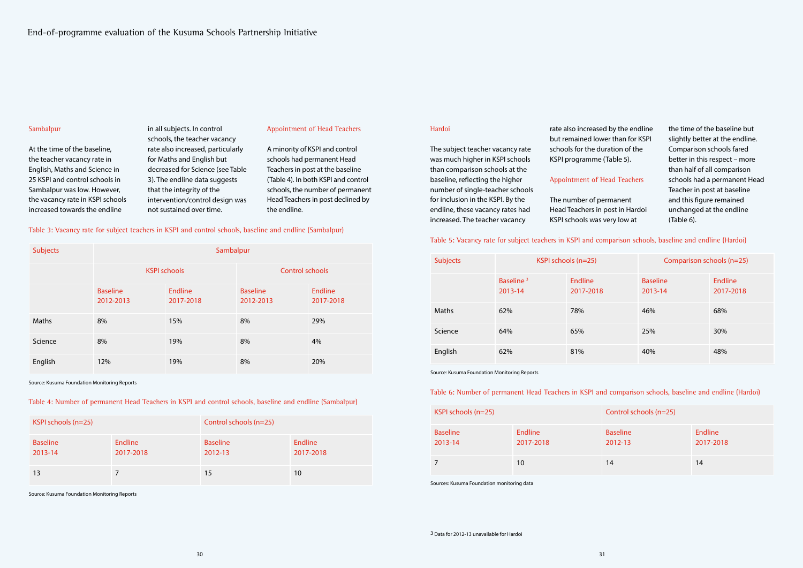#### Hardoi

The subject teacher vacancy rate was much higher in KSPI schools than comparison schools at the baseline, reflecting the higher number of single-teacher schools for inclusion in the KSPI. By the endline, these vacancy rates had increased. The teacher vacancy

rate also increased but remained lowe schools for the dura KSPI programme (

#### Appointment of He

The number of per Head Teachers in p KSPI schools was v

| by the endline   | the time of the baseline but    |
|------------------|---------------------------------|
| er than for KSPI | slightly better at the endline. |
| ation of the     | Comparison schools fared        |
| Table 5).        | better in this respect - more   |
|                  | than half of all comparison     |
| ad Teachers      | schools had a permanent Head    |
|                  | Teacher in post at baseline     |
| manent           | and this figure remained        |
| ost in Hardoi    | unchanged at the endline        |
| ery low at       | (Table 6).                      |
|                  |                                 |

| <b>Subjects</b> | KSPI schools (n=25)              |                      | Comparison schools (n=25)  |                             |
|-----------------|----------------------------------|----------------------|----------------------------|-----------------------------|
|                 | Baseline <sup>3</sup><br>2013-14 | Endline<br>2017-2018 | <b>Baseline</b><br>2013-14 | <b>Endline</b><br>2017-2018 |
| <b>Maths</b>    | 62%                              | 78%                  | 46%                        | 68%                         |
| Science         | 64%                              | 65%                  | 25%                        | 30%                         |
| English         | 62%                              | 81%                  | 40%                        | 48%                         |

| KSPI schools (n=25)        |                             | Control schools (n=25)     |                      |
|----------------------------|-----------------------------|----------------------------|----------------------|
| <b>Baseline</b><br>2013-14 | <b>Endline</b><br>2017-2018 | <b>Baseline</b><br>2012-13 | Endline<br>2017-2018 |
|                            | 10                          | 14                         | 14                   |

### Table 5: Vacancy rate for subject teachers in KSPI and comparison schools, baseline and endline (Hardoi)

Source: Kusuma Foundation Monitoring Reports

#### Table 6: Number of permanent Head Teachers in KSPI and comparison schools, baseline and endline (Hardoi)

Sources: Kusuma Foundation monitoring data

### Sambalpur

At the time of the baseline, the teacher vacancy rate in English, Maths and Science in 25 KSPI and control schools in Sambalpur was low. However, the vacancy rate in KSPI schools increased towards the endline

in all subjects. In control schools, the teacher vacancy rate also increased, particularly for Maths and English but decreased for Science (see Table 3). The endline data suggests that the integrity of the intervention/control design was not sustained over time.

#### Table 3: Vacancy rate for subject teachers in KSPI and control schools, baseline and endline (Sambalpur)

| <b>Subjects</b> | Sambalpur                    |                             |                              |                             |
|-----------------|------------------------------|-----------------------------|------------------------------|-----------------------------|
|                 | <b>KSPI schools</b>          |                             | <b>Control schools</b>       |                             |
|                 | <b>Baseline</b><br>2012-2013 | <b>Endline</b><br>2017-2018 | <b>Baseline</b><br>2012-2013 | <b>Endline</b><br>2017-2018 |
| <b>Maths</b>    | 8%                           | 15%                         | 8%                           | 29%                         |
| Science         | 8%                           | 19%                         | 8%                           | 4%                          |
| English         | 12%                          | 19%                         | 8%                           | 20%                         |

Source: Kusuma Foundation Monitoring Reports

#### Appointment of Head Teachers

A minority of KSPI and control schools had permanent Head Teachers in post at the baseline (Table 4). In both KSPI and control schools, the number of permanent Head Teachers in post declined by the endline.

| KSPI schools (n=25)        |                      | Control schools (n=25)     |                             |
|----------------------------|----------------------|----------------------------|-----------------------------|
| <b>Baseline</b><br>2013-14 | Endline<br>2017-2018 | <b>Baseline</b><br>2012-13 | <b>Endline</b><br>2017-2018 |
| 13                         |                      | 15                         | 10                          |

Table 4: Number of permanent Head Teachers in KSPI and control schools, baseline and endline (Sambalpur)

Source: Kusuma Foundation Monitoring Reports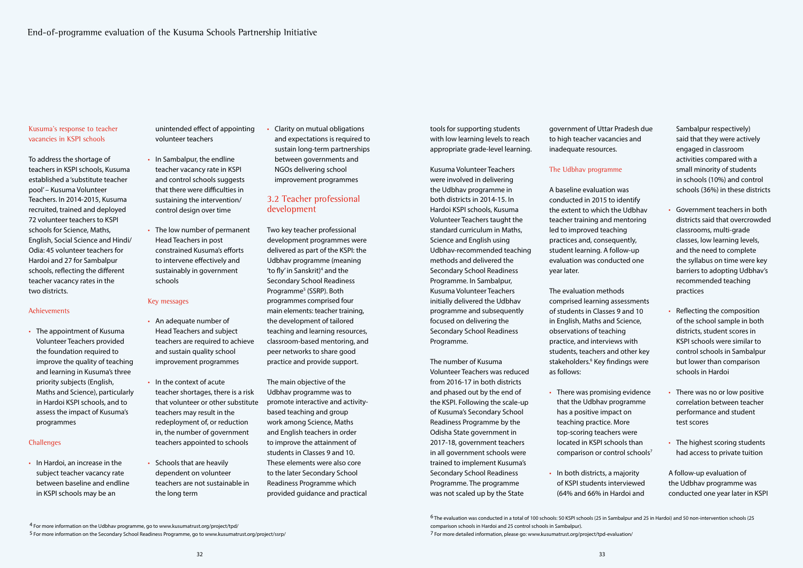tools for supporting students with low learning levels to reach appropriate grade-level learning.

Kusuma Volunteer Teachers were involved in delivering the Udbhav programme in both districts in 2014-15. In Hardoi KSPI schools, Kusuma Volunteer Teachers taught the standard curriculum in Maths, Science and English using Udbhav-recommended teaching methods and delivered the Secondary School Readiness Programme. In Sambalpur, Kusuma Volunteer Teachers initially delivered the Udbhav programme and subsequently focused on delivering the Secondary School Readiness Programme.

The number of Kusuma Volunteer Teachers was reduced from 2016-17 in both districts and phased out by the end of the KSPI. Following the scale-up of Kusuma's Secondary School Readiness Programme by the Odisha State government in 2017-18, government teachers in all government schools were trained to implement Kusuma's Secondary School Readiness Programme. The programme was not scaled up by the State

### The Udbhav programme

A baseline evaluation was conducted in 2015 to identify the extent to which the Udbhav teacher training and mentoring led to improved teaching practices and, consequently, student learning. A follow-up evaluation was conducted one year later.

The evaluation methods comprised learning assessments of students in Classes 9 and 10 in English, Maths and Science, observations of teaching practice, and interviews with students, teachers and other key stakeholders.<sup>6</sup> Key findings were as follows:

- There was promising evidence that the Udbhav programme has a positive impact on teaching practice. More top-scoring teachers were located in KSPI schools than comparison or control schools<sup>7</sup>
- In both districts, a majority of KSPI students interviewed (64% and 66% in Hardoi and

Sambalpur respectively) said that they were actively engaged in classroom activities compared with a small minority of students in schools (10%) and control schools (36%) in these districts

- Government teachers in both districts said that overcrowded classrooms, multi-grade classes, low learning levels, and the need to complete the syllabus on time were key barriers to adopting Udbhav's recommended teaching practices
- Reflecting the composition of the school sample in both districts, student scores in KSPI schools were similar to control schools in Sambalpur but lower than comparison schools in Hardoi
- There was no or low positive correlation between teacher performance and student test scores
- The highest scoring students had access to private tuition

A follow-up evaluation of the Udbhav programme was conducted one year later in KSPI

Kusuma's response to teacher vacancies in KSPI schools

To address the shortage of teachers in KSPI schools, Kusuma established a 'substitute teacher pool' – Kusuma Volunteer Teachers. In 2014-2015, Kusuma recruited, trained and deployed 72 volunteer teachers to KSPI schools for Science, Maths, English, Social Science and Hindi/ Odia: 45 volunteer teachers for Hardoi and 27 for Sambalpur schools, reflecting the different teacher vacancy rates in the two districts.

# Achievements

• The appointment of Kusuma Volunteer Teachers provided the foundation required to improve the quality of teaching and learning in Kusuma's three priority subjects (English, Maths and Science), particularly in Hardoi KSPI schools, and to assess the impact of Kusuma's programmes

# **Challenges**

• In Hardoi, an increase in the subject teacher vacancy rate between baseline and endline in KSPI schools may be an

unintended effect of appointing volunteer teachers

- In Sambalpur, the endline teacher vacancy rate in KSPI and control schools suggests that there were difficulties in sustaining the intervention/ control design over time
- The low number of permanent Head Teachers in post constrained Kusuma's efforts to intervene effectively and sustainably in government schools

#### Key messages

- An adequate number of Head Teachers and subject teachers are required to achieve and sustain quality school improvement programmes
- In the context of acute teacher shortages, there is a risk that volunteer or other substitute teachers may result in the redeployment of, or reduction in, the number of government teachers appointed to schools
- Schools that are heavily dependent on volunteer teachers are not sustainable in the long term

• Clarity on mutual obligations and expectations is required to sustain long-term partnerships between governments and NGOs delivering school improvement programmes

# 3.2 Teacher professional development

Two key teacher professional development programmes were delivered as part of the KSPI: the Udbhav programme (meaning 'to fly' in Sanskrit)<sup>4</sup> and the Secondary School Readiness Programme<sup>5</sup> (SSRP). Both programmes comprised four main elements: teacher training, the development of tailored teaching and learning resources, classroom-based mentoring, and peer networks to share good practice and provide support.

The main objective of the Udbhav programme was to promote interactive and activitybased teaching and group work among Science, Maths and English teachers in order to improve the attainment of students in Classes 9 and 10. These elements were also core to the later Secondary School Readiness Programme which provided guidance and practical

government of Uttar Pradesh due to high teacher vacancies and inadequate resources.

<sup>6</sup> The evaluation was conducted in a total of 100 schools: 50 KSPI schools (25 in Sambalpur and 25 in Hardoi) and 50 non-intervention schools (25 comparison schools in Hardoi and 25 control schools in Sambalpur).

<sup>7</sup> For more detailed information, please go: www.kusumatrust.org/project/tpd-evaluation/

<sup>4</sup> For more information on the Udbhav programme, go to www.kusumatrust.org/project/tpd/

<sup>5</sup> For more information on the Secondary School Readiness Programme, go to www.kusumatrust.org/project/ssrp/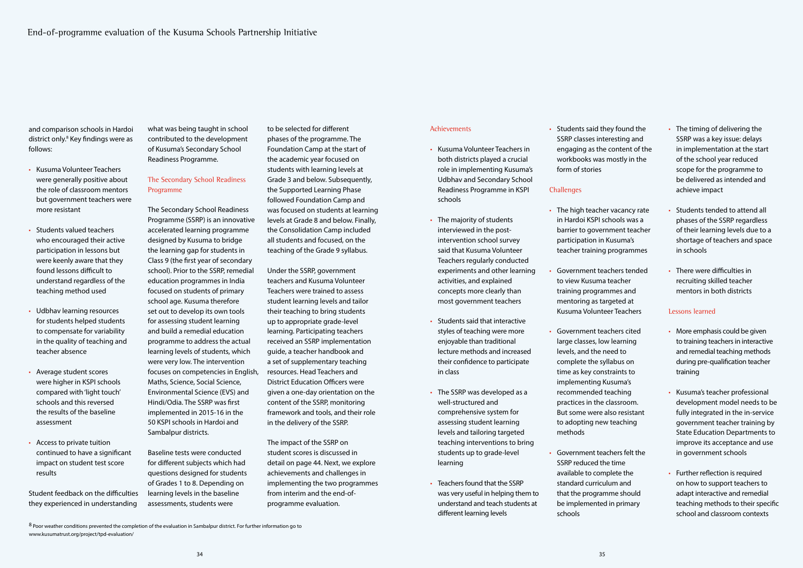#### Achievements

- Kusuma Volunteer Teachers in both districts played a crucial role in implementing Kusuma's Udbhav and Secondary School Readiness Programme in KSPI schools
- The majority of students interviewed in the postintervention school survey said that Kusuma Volunteer Teachers regularly conducted experiments and other learning activities, and explained concepts more clearly than most government teachers
- Students said that interactive styles of teaching were more enjoyable than traditional lecture methods and increased their confidence to participate in class
- The SSRP was developed as a well-structured and comprehensive system for assessing student learning levels and tailoring targeted teaching interventions to bring students up to grade-level learning
- Teachers found that the SSRP was very useful in helping them to understand and teach students at different learning levels

• Students said they found the SSRP classes interesting and engaging as the content of the workbooks was mostly in the form of stories

## **Challenges**

- The high teacher vacancy rate in Hardoi KSPI schools was a barrier to government teacher participation in Kusuma's teacher training programmes
- Government teachers tended to view Kusuma teacher training programmes and mentoring as targeted at Kusuma Volunteer Teachers
- Government teachers cited large classes, low learning levels, and the need to complete the syllabus on time as key constraints to implementing Kusuma's recommended teaching practices in the classroom. But some were also resistant to adopting new teaching methods
- Government teachers felt the SSRP reduced the time available to complete the standard curriculum and that the programme should be implemented in primary schools
- The timing of delivering the SSRP was a key issue: delays in implementation at the start of the school year reduced scope for the programme to be delivered as intended and achieve impact
- Students tended to attend all phases of the SSRP regardless of their learning levels due to a shortage of teachers and space in schools
- There were difficulties in recruiting skilled teacher mentors in both districts

#### Lessons learned

- More emphasis could be given to training teachers in interactive and remedial teaching methods during pre-qualification teacher training
- Kusuma's teacher professional development model needs to be fully integrated in the in-service government teacher training by State Education Departments to improve its acceptance and use in government schools
- Further reflection is required on how to support teachers to adapt interactive and remedial teaching methods to their specific school and classroom contexts

and comparison schools in Hardoi district only.<sup>8</sup> Key findings were as follows:

- Kusuma Volunteer Teachers were generally positive about the role of classroom mentors but government teachers were more resistant
- Students valued teachers who encouraged their active participation in lessons but were keenly aware that they found lessons difficult to understand regardless of the teaching method used
- Udbhav learning resources for students helped students to compensate for variability in the quality of teaching and teacher absence
- Average student scores were higher in KSPI schools compared with 'light touch' schools and this reversed the results of the baseline assessment
- Access to private tuition continued to have a significant impact on student test score results

Student feedback on the difficulties they experienced in understanding

what was being taught in school contributed to the development of Kusuma's Secondary School Readiness Programme.

## The Secondary School Readiness Programme

The Secondary School Readiness Programme (SSRP) is an innovative accelerated learning programme designed by Kusuma to bridge the learning gap for students in Class 9 (the first year of secondary school). Prior to the SSRP, remedial education programmes in India focused on students of primary school age. Kusuma therefore set out to develop its own tools for assessing student learning and build a remedial education programme to address the actual learning levels of students, which were very low. The intervention focuses on competencies in English, Maths, Science, Social Science, Environmental Science (EVS) and Hindi/Odia. The SSRP was first implemented in 2015-16 in the 50 KSPI schools in Hardoi and Sambalpur districts.

Baseline tests were conducted for different subjects which had questions designed for students of Grades 1 to 8. Depending on learning levels in the baseline assessments, students were

to be selected for different phases of the programme. The Foundation Camp at the start of the academic year focused on students with learning levels at Grade 3 and below. Subsequently, the Supported Learning Phase followed Foundation Camp and was focused on students at learning levels at Grade 8 and below. Finally, the Consolidation Camp included all students and focused, on the teaching of the Grade 9 syllabus.

Under the SSRP, government teachers and Kusuma Volunteer Teachers were trained to assess student learning levels and tailor their teaching to bring students up to appropriate grade-level learning. Participating teachers received an SSRP implementation guide, a teacher handbook and a set of supplementary teaching resources. Head Teachers and District Education Officers were given a one-day orientation on the content of the SSRP, monitoring framework and tools, and their role in the delivery of the SSRP.

The impact of the SSRP on student scores is discussed in detail on page 44. Next, we explore achievements and challenges in implementing the two programmes from interim and the end-ofprogramme evaluation.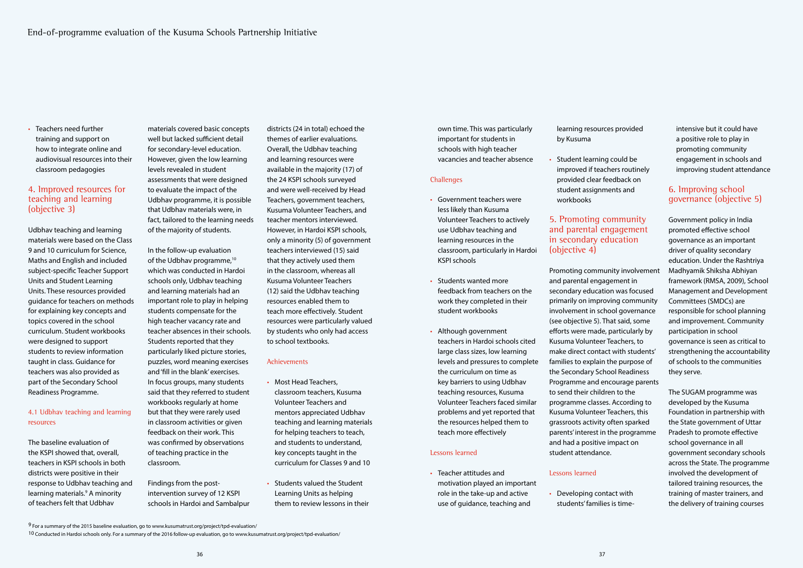own time. This was particularly important for students in schools with high teacher vacancies and teacher absence

#### **Challenges**

- Government teachers were less likely than Kusuma Volunteer Teachers to actively use Udbhav teaching and learning resources in the classroom, particularly in Hardoi KSPI schools
- Students wanted more feedback from teachers on the work they completed in their student workbooks
- Although government teachers in Hardoi schools cited large class sizes, low learning levels and pressures to complete the curriculum on time as key barriers to using Udbhav teaching resources, Kusuma Volunteer Teachers faced similar problems and yet reported that the resources helped them to teach more effectively

#### Lessons learned

• Teacher attitudes and motivation played an important role in the take-up and active use of guidance, teaching and

learning resources provided by Kusuma

• Student learning could be improved if teachers routinely provided clear feedback on student assignments and workbooks

# 5. Promoting community and parental engagement in secondary education (objective 4)

Teachers need further training and support on how to integrate online and audiovisual resources into their classroom pedagogies

> Promoting community involvement and parental engagement in secondary education was focused primarily on improving community involvement in school governance (see objective 5). That said, some efforts were made, particularly by Kusuma Volunteer Teachers, to make direct contact with students' families to explain the purpose of the Secondary School Readiness Programme and encourage parents to send their children to the programme classes. According to Kusuma Volunteer Teachers, this grassroots activity often sparked parents' interest in the programme and had a positive impact on student attendance.

# Lessons learned

• Developing contact with students' families is time-

intensive but it could have a positive role to play in promoting community engagement in schools and improving student attendance

# 6. Improving school governance (objective 5)

Government policy in India promoted effective school governance as an important driver of quality secondary education. Under the Rashtriya Madhyamik Shiksha Abhiyan framework (RMSA, 2009), School Management and Development Committees (SMDCs) are responsible for school planning and improvement. Community participation in school governance is seen as critical to strengthening the accountability of schools to the communities they serve.

The SUGAM programme was developed by the Kusuma Foundation in partnership with the State government of Uttar Pradesh to promote effective school governance in all government secondary schools across the State. The programme involved the development of tailored training resources, the training of master trainers, and the delivery of training courses

# 4. Improved resources for teaching and learning (objective 3)

Udbhav teaching and learning materials were based on the Class 9 and 10 curriculum for Science, Maths and English and included subject-specific Teacher Support Units and Student Learning Units. These resources provided guidance for teachers on methods for explaining key concepts and topics covered in the school curriculum. Student workbooks were designed to support students to review information taught in class. Guidance for teachers was also provided as part of the Secondary School Readiness Programme.

### 4.1 Udbhav teaching and learning resources

The baseline evaluation of the KSPI showed that, overall, teachers in KSPI schools in both districts were positive in their response to Udbhav teaching and learning materials.<sup>9</sup> A minority of teachers felt that Udbhav

materials covered basic concepts well but lacked sufficient detail for secondary-level education. However, given the low learning levels revealed in student assessments that were designed to evaluate the impact of the Udbhav programme, it is possible that Udbhav materials were, in fact, tailored to the learning needs of the majority of students.

In the follow-up evaluation of the Udbhav programme,<sup>10</sup> which was conducted in Hardoi schools only, Udbhav teaching and learning materials had an important role to play in helping students compensate for the high teacher vacancy rate and teacher absences in their schools. Students reported that they particularly liked picture stories, puzzles, word meaning exercises and 'fill in the blank' exercises. In focus groups, many students said that they referred to student workbooks regularly at home but that they were rarely used in classroom activities or given feedback on their work. This was confirmed by observations of teaching practice in the classroom.

Findings from the postintervention survey of 12 KSPI schools in Hardoi and Sambalpur districts (24 in total) echoed the themes of earlier evaluations. Overall, the Udbhav teaching and learning resources were available in the majority (17) of the 24 KSPI schools surveyed and were well-received by Head Teachers, government teachers, Kusuma Volunteer Teachers, and teacher mentors interviewed. However, in Hardoi KSPI schools, only a minority (5) of government teachers interviewed (15) said that they actively used them in the classroom, whereas all Kusuma Volunteer Teachers (12) said the Udbhav teaching resources enabled them to teach more effectively. Student resources were particularly valued by students who only had access to school textbooks.

#### Achievements

- Most Head Teachers, classroom teachers, Kusuma Volunteer Teachers and mentors appreciated Udbhav teaching and learning materials for helping teachers to teach, and students to understand, key concepts taught in the curriculum for Classes 9 and 10
- Students valued the Student Learning Units as helping them to review lessons in their

10 Conducted in Hardoi schools only. For a summary of the 2016 follow-up evaluation, go to www.kusumatrust.org/project/tpd-evaluation/

 $9$  For a summary of the 2015 baseline evaluation, go to www.kusumatrust.org/project/tpd-evaluation/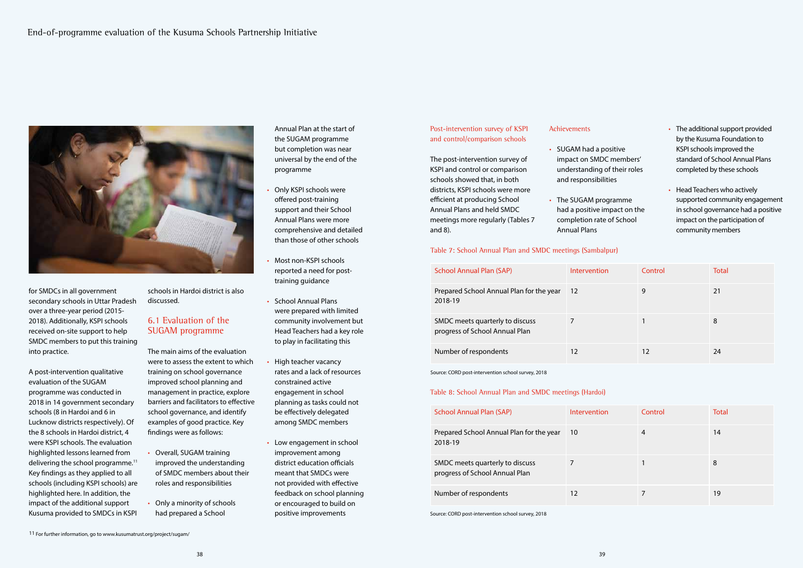

### Post-intervention survey of KSPI and control/comparison schools

The post-intervention survey of KSPI and control or comparison schools showed that, in both districts, KSPI schools were more efficient at producing School Annual Plans and held SMDC meetings more regularly (Tables 7 and 8).

- $\cdot$  SUGAM had a p impact on SMD understanding and responsibili
- $\cdot$  The SUGAM programme had a positive in completion rate Annual Plans

#### Achievements

| <b>School Annual Plan (SAP)</b>                                   | Intervention | Control | <b>Total</b> |
|-------------------------------------------------------------------|--------------|---------|--------------|
| Prepared School Annual Plan for the year<br>2018-19               | 12           | 9       | 21           |
| SMDC meets quarterly to discuss<br>progress of School Annual Plan |              |         | 8            |
| Number of respondents                                             | 12           | 12      | 24           |

#### Table 7: School Annual Plan and SMDC meetings (Sambalpur)

Source: CORD post-intervention school survey, 2018

| <b>School Annual Plan (SAP)</b>                                   | Intervention | Control | Total |
|-------------------------------------------------------------------|--------------|---------|-------|
| Prepared School Annual Plan for the year<br>2018-19               | 10           | 4       | 14    |
| SMDC meets quarterly to discuss<br>progress of School Annual Plan |              |         | 8     |
| Number of respondents                                             | 12           |         | 19    |

Table 8: School Annual Plan and SMDC meetings (Hardoi)

Source: CORD post-intervention school survey, 2018

|                | • The additional support provided   |
|----------------|-------------------------------------|
|                | by the Kusuma Foundation to         |
| ositive        | KSPI schools improved the           |
| C members'     | standard of School Annual Plans     |
| of their roles | completed by these schools          |
| ities          |                                     |
|                | • Head Teachers who actively        |
| ogramme        | supported community engagement      |
| mpact on the   | in school governance had a positive |
| of School ؛    | impact on the participation of      |
|                | community members                   |
|                |                                     |

for SMDCs in all government secondary schools in Uttar Pradesh over a three-year period (2015- 2018). Additionally, KSPI schools received on-site support to help SMDC members to put this training into practice.

A post-intervention qualitative evaluation of the SUGAM programme was conducted in 2018 in 14 government secondary schools (8 in Hardoi and 6 in Lucknow districts respectively). Of the 8 schools in Hardoi district, 4 were KSPI schools. The evaluation highlighted lessons learned from delivering the school programme.<sup>11</sup> Key findings as they applied to all schools (including KSPI schools) are highlighted here. In addition, the impact of the additional support Kusuma provided to SMDCs in KSPI

schools in Hardoi district is also discussed.

# 6.1 Evaluation of the SUGAM programme

The main aims of the evaluation were to assess the extent to which training on school governance improved school planning and management in practice, explore barriers and facilitators to effective school governance, and identify examples of good practice. Key findings were as follows:

- Overall, SUGAM training improved the understanding of SMDC members about their roles and responsibilities
- Only a minority of schools had prepared a School

11 For further information, go to www.kusumatrust.org/project/sugam/

Annual Plan at the start of the SUGAM programme but completion was near universal by the end of the programme

- Only KSPI schools were offered post-training support and their School Annual Plans were more comprehensive and detailed than those of other schools
- Most non-KSPI schools reported a need for posttraining guidance
- School Annual Plans were prepared with limited community involvement but Head Teachers had a key role to play in facilitating this
- High teacher vacancy rates and a lack of resources constrained active engagement in school planning as tasks could not be effectively delegated among SMDC members
- Low engagement in school improvement among district education officials meant that SMDCs were not provided with effective feedback on school planning or encouraged to build on positive improvements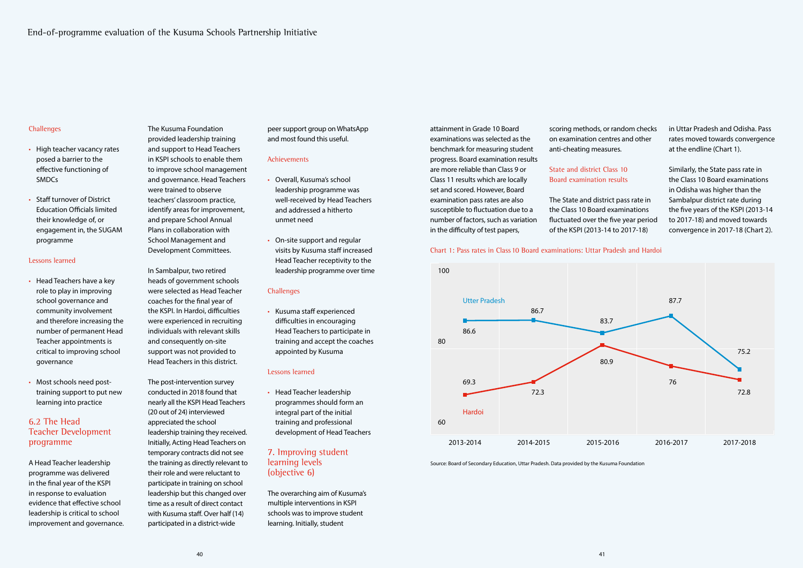### **Challenges**

attainment in Grade 10 Board examinations was selected as the benchmark for measuring student progress. Board examination results are more reliable than Class 9 or Class 11 results which are locally set and scored. However, Board examination pass rates are also susceptible to fluctuation due to a number of factors, such as variation in the difficulty of test papers,

scoring methods, or random checks on examination centres and other anti-cheating measures.

### State and district Class 10 Board examination results

The State and district pass rate in the Class 10 Board examinations fluctuated over the five year period of the KSPI (2013-14 to 2017-18)

in Uttar Pradesh and Odisha. Pass rates moved towards convergence at the endline (Chart 1).

Similarly, the State pass rate in the Class 10 Board examinations in Odisha was higher than the Sambalpur district rate during the five years of the KSPI (2013-14 to 2017-18) and moved towards convergence in 2017-18 (Chart 2).

#### Chart 1: Pass rates in Class 10 Board examinations: Uttar Pradesh and Hardoi



Source: Board of Secondary Education, Uttar Pradesh. Data provided by the Kusuma Foundation

- High teacher vacancy rates posed a barrier to the effective functioning of SMDCs
- **Staff turnover of District** Education Officials limited their knowledge of, or engagement in, the SUGAM programme

#### Lessons learned

- Head Teachers have a key role to play in improving school governance and community involvement and therefore increasing the number of permanent Head Teacher appointments is critical to improving school governance
- Most schools need posttraining support to put new learning into practice

# 6.2 The Head Teacher Development programme

A Head Teacher leadership programme was delivered in the final year of the KSPI in response to evaluation evidence that effective school leadership is critical to school improvement and governance. The Kusuma Foundation provided leadership training and support to Head Teachers in KSPI schools to enable them to improve school management and governance. Head Teachers were trained to observe teachers' classroom practice, identify areas for improvement, and prepare School Annual Plans in collaboration with School Management and Development Committees.

In Sambalpur, two retired heads of government schools were selected as Head Teacher coaches for the final year of the KSPI. In Hardoi, difficulties were experienced in recruiting individuals with relevant skills and consequently on-site support was not provided to Head Teachers in this district.

The post-intervention survey conducted in 2018 found that nearly all the KSPI Head Teachers (20 out of 24) interviewed appreciated the school leadership training they received. Initially, Acting Head Teachers on temporary contracts did not see the training as directly relevant to their role and were reluctant to participate in training on school leadership but this changed over time as a result of direct contact with Kusuma staff. Over half (14) participated in a district-wide

peer support group on WhatsApp and most found this useful.

#### Achievements

- Overall, Kusuma's school leadership programme was well-received by Head Teachers and addressed a hitherto unmet need
- On-site support and regular visits by Kusuma staff increased Head Teacher receptivity to the leadership programme over time

#### **Challenges**

• Kusuma staff experienced difficulties in encouraging Head Teachers to participate in training and accept the coaches appointed by Kusuma

#### Lessons learned

• Head Teacher leadership programmes should form an integral part of the initial training and professional development of Head Teachers

# 7. Improving student learning levels (objective 6)

The overarching aim of Kusuma's multiple interventions in KSPI schools was to improve student learning. Initially, student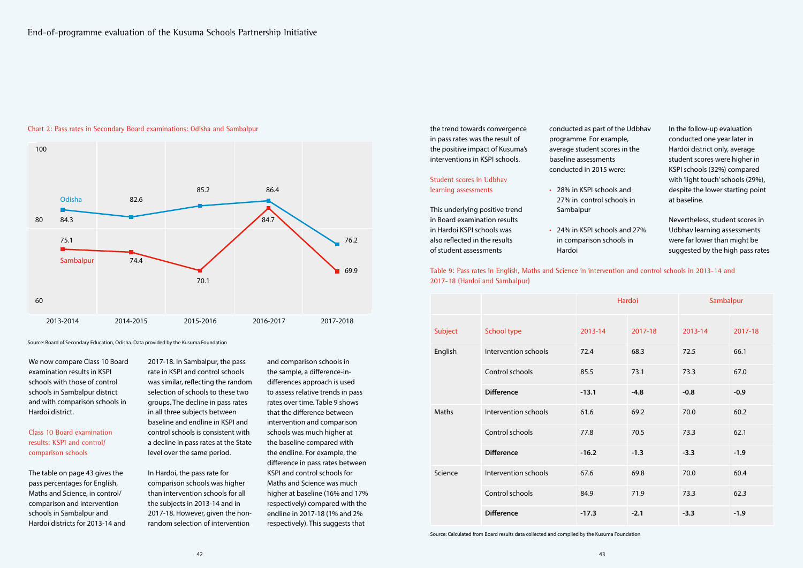the trend towards convergence in pass rates was the result of the positive impact of Kusuma's interventions in KSPI schools.

### Student scores in Udbhav learning assessments

This underlying positive trend in Board examination results in Hardoi KSPI schools was also reflected in the results of student assessments

| conducted as part of the Udbhav          | In the follow-up evaluation       |  |  |
|------------------------------------------|-----------------------------------|--|--|
| programme. For example,                  | conducted one year later in       |  |  |
| average student scores in the            | Hardoi district only, average     |  |  |
| baseline assessments                     | student scores were higher in     |  |  |
| conducted in 2015 were:                  | KSPI schools (32%) compared       |  |  |
|                                          | with 'light touch' schools (29%), |  |  |
| 28% in KSPI schools and                  | despite the lower starting point  |  |  |
| 27% in control schools in                | at baseline.                      |  |  |
| Sambalpur                                |                                   |  |  |
|                                          | Nevertheless, student scores in   |  |  |
| 24% in KSPI schools and 27%<br>$\bullet$ | Udbhav learning assessments       |  |  |
| in comparison schools in                 | were far lower than might be      |  |  |
| Hardoi                                   | suggested by the high pass rates  |  |  |

|         |                      | Hardoi  |         | Sambalpur |         |
|---------|----------------------|---------|---------|-----------|---------|
| Subject | School type          | 2013-14 | 2017-18 | 2013-14   | 2017-18 |
| English | Intervention schools | 72.4    | 68.3    | 72.5      | 66.1    |
|         | Control schools      | 85.5    | 73.1    | 73.3      | 67.0    |
|         | <b>Difference</b>    | $-13.1$ | $-4.8$  | $-0.8$    | $-0.9$  |
| Maths   | Intervention schools | 61.6    | 69.2    | 70.0      | 60.2    |
|         | Control schools      | 77.8    | 70.5    | 73.3      | 62.1    |
|         | <b>Difference</b>    | $-16.2$ | $-1.3$  | $-3.3$    | $-1.9$  |
| Science | Intervention schools | 67.6    | 69.8    | 70.0      | 60.4    |
|         | Control schools      | 84.9    | 71.9    | 73.3      | 62.3    |
|         | <b>Difference</b>    | $-17.3$ | $-2.1$  | $-3.3$    | $-1.9$  |

Table 9: Pass rates in English, Maths and Science in intervention and control schools in 2013-14 and 2017-18 (Hardoi and Sambalpur)

Source: Calculated from Board results data collected and compiled by the Kusuma Foundation

#### Chart 2: Pass rates in Secondary Board examinations: Odisha and Sambalpur

Source: Board of Secondary Education, Odisha. Data provided by the Kusuma Foundation



We now compare Class 10 Board examination results in KSPI schools with those of control schools in Sambalpur district and with comparison schools in Hardoi district.

## Class 10 Board examination results: KSPI and control/ comparison schools

The table on page 43 gives the pass percentages for English, Maths and Science, in control/ comparison and intervention schools in Sambalpur and Hardoi districts for 2013-14 and 2017-18. In Sambalpur, the pass rate in KSPI and control schools was similar, reflecting the random selection of schools to these two groups. The decline in pass rates in all three subjects between baseline and endline in KSPI and control schools is consistent with a decline in pass rates at the State level over the same period.

In Hardoi, the pass rate for comparison schools was higher than intervention schools for all the subjects in 2013-14 and in 2017-18. However, given the nonrandom selection of intervention

and comparison schools in the sample, a difference-indifferences approach is used to assess relative trends in pass rates over time. Table 9 shows that the difference between intervention and comparison schools was much higher at the baseline compared with the endline. For example, the difference in pass rates between KSPI and control schools for Maths and Science was much higher at baseline (16% and 17% respectively) compared with the endline in 2017-18 (1% and 2% respectively). This suggests that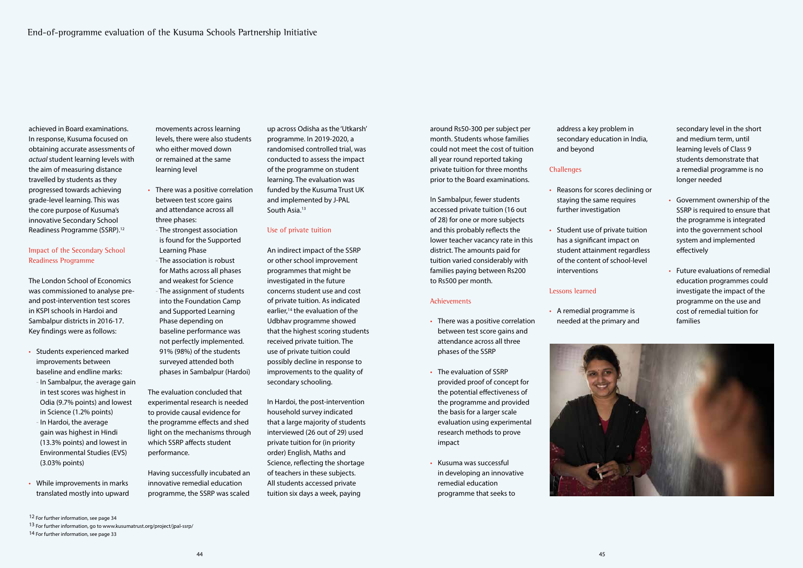around Rs50-300 per subject per month. Students whose families could not meet the cost of tuition all year round reported taking private tuition for three months prior to the Board examinations.

In Sambalpur, fewer students accessed private tuition (16 out of 28) for one or more subjects and this probably reflects the lower teacher vacancy rate in this district. The amounts paid for tuition varied considerably with families paying between Rs200 to Rs500 per month.

#### **Achievements**

- There was a positive correlation between test score gains and attendance across all three phases of the SSRP
- The evaluation of SSRP provided proof of concept for the potential effectiveness of the programme and provided the basis for a larger scale evaluation using experimental research methods to prove impact
- Kusuma was successful in developing an innovative remedial education programme that seeks to

address a key problem in secondary education in India, and beyond

### **Challenges**

- Reasons for scores declining or staying the same requires further investigation
- Student use of private tuition has a significant impact on student attainment regardless of the content of school-level interventions

#### Lessons learned

• A remedial programme is needed at the primary and



secondary level in the short and medium term, until learning levels of Class 9 students demonstrate that a remedial programme is no longer needed

- Government ownership of the SSRP is required to ensure that the programme is integrated into the government school system and implemented effectively
- Future evaluations of remedial education programmes could investigate the impact of the programme on the use and cost of remedial tuition for families

up across Odisha as the 'Utkarsh' programme. In 2019-2020, a randomised controlled trial, was conducted to assess the impact of the programme on student learning. The evaluation was funded by the Kusuma Trust UK and implemented by J-PAL South Asia.<sup>13</sup>

achieved in Board examinations. In response, Kusuma focused on obtaining accurate assessments of *actual* student learning levels with the aim of measuring distance travelled by students as they progressed towards achieving grade-level learning. This was the core purpose of Kusuma's innovative Secondary School Readiness Programme (SSRP).12

### Impact of the Secondary School Readiness Programme

The London School of Economics was commissioned to analyse preand post-intervention test scores in KSPI schools in Hardoi and Sambalpur districts in 2016-17. Key findings were as follows:

- Students experienced marked improvements between baseline and endline marks:
- In Sambalpur, the average gain in test scores was highest in Odia (9.7% points) and lowest in Science (1.2% points)
- In Hardoi, the average gain was highest in Hindi (13.3% points) and lowest in Environmental Studies (EVS) (3.03% points)
- While improvements in marks translated mostly into upward

movements across learning levels, there were also students who either moved down or remained at the same learning level

- There was a positive correlation between test score gains and attendance across all three phases:
- The strongest association is found for the Supported Learning Phase
- The association is robust for Maths across all phases and weakest for Science - The assignment of students into the Foundation Camp and Supported Learning Phase depending on baseline performance was

not perfectly implemented. 91% (98%) of the students surveyed attended both phases in Sambalpur (Hardoi)

The evaluation concluded that experimental research is needed to provide causal evidence for the programme effects and shed light on the mechanisms through which SSRP affects student performance.

Having successfully incubated an innovative remedial education programme, the SSRP was scaled

#### Use of private tuition

An indirect impact of the SSRP or other school improvement programmes that might be investigated in the future concerns student use and cost of private tuition. As indicated earlier,<sup>14</sup> the evaluation of the Udbhav programme showed that the highest scoring students received private tuition. The use of private tuition could possibly decline in response to improvements to the quality of secondary schooling.

In Hardoi, the post-intervention household survey indicated that a large majority of students interviewed (26 out of 29) used private tuition for (in priority order) English, Maths and Science, reflecting the shortage of teachers in these subjects. All students accessed private tuition six days a week, paying

13 For further information, go to www.kusumatrust.org/project/jpal-ssrp/

14 For further information, see page 33

<sup>12</sup> For further information, see page 34